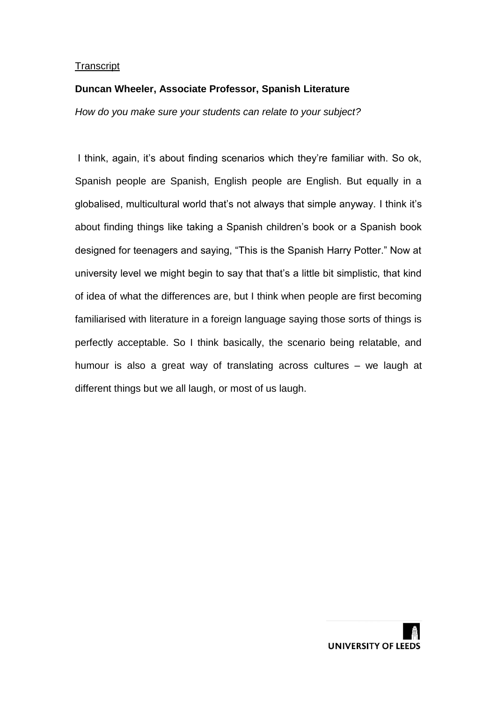# **Duncan Wheeler, Associate Professor, Spanish Literature**

*How do you make sure your students can relate to your subject?*

I think, again, it's about finding scenarios which they're familiar with. So ok, Spanish people are Spanish, English people are English. But equally in a globalised, multicultural world that's not always that simple anyway. I think it's about finding things like taking a Spanish children's book or a Spanish book designed for teenagers and saying, "This is the Spanish Harry Potter." Now at university level we might begin to say that that's a little bit simplistic, that kind of idea of what the differences are, but I think when people are first becoming familiarised with literature in a foreign language saying those sorts of things is perfectly acceptable. So I think basically, the scenario being relatable, and humour is also a great way of translating across cultures – we laugh at different things but we all laugh, or most of us laugh.

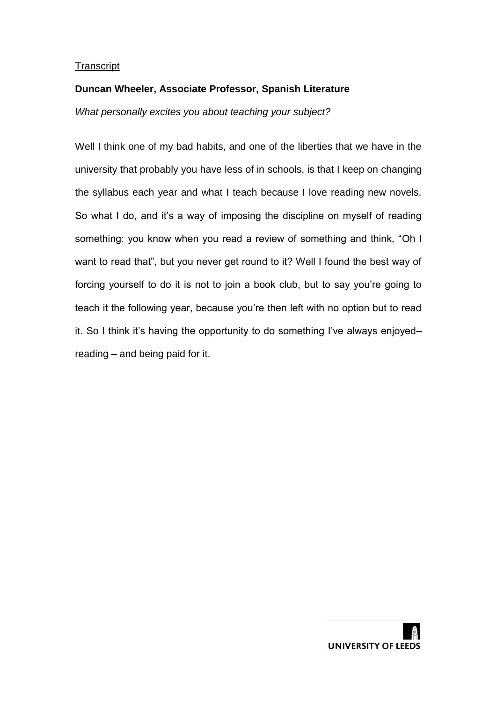## **Duncan Wheeler, Associate Professor, Spanish Literature**

*What personally excites you about teaching your subject?*

Well I think one of my bad habits, and one of the liberties that we have in the university that probably you have less of in schools, is that I keep on changing the syllabus each year and what I teach because I love reading new novels. So what I do, and it's a way of imposing the discipline on myself of reading something: you know when you read a review of something and think, "Oh I want to read that", but you never get round to it? Well I found the best way of forcing yourself to do it is not to join a book club, but to say you're going to teach it the following year, because you're then left with no option but to read it. So I think it's having the opportunity to do something I've always enjoyed– reading – and being paid for it.

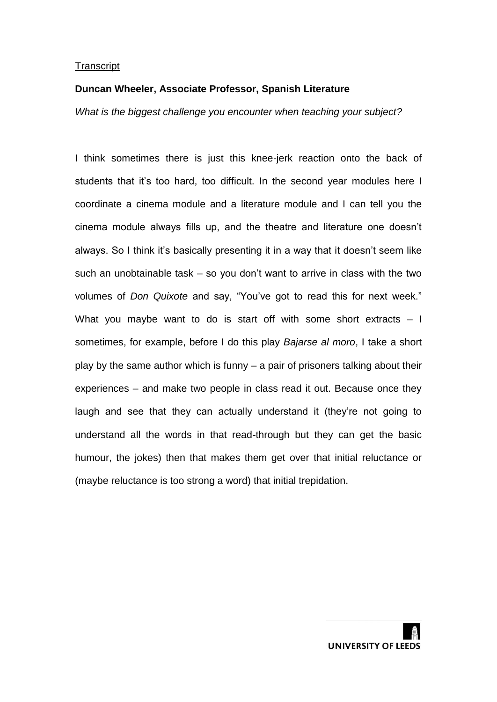#### **Duncan Wheeler, Associate Professor, Spanish Literature**

*What is the biggest challenge you encounter when teaching your subject?*

I think sometimes there is just this knee-jerk reaction onto the back of students that it's too hard, too difficult. In the second year modules here I coordinate a cinema module and a literature module and I can tell you the cinema module always fills up, and the theatre and literature one doesn't always. So I think it's basically presenting it in a way that it doesn't seem like such an unobtainable task – so you don't want to arrive in class with the two volumes of *Don Quixote* and say, "You've got to read this for next week." What you maybe want to do is start off with some short extracts – I sometimes, for example, before I do this play *Bajarse al moro*, I take a short play by the same author which is funny – a pair of prisoners talking about their experiences – and make two people in class read it out. Because once they laugh and see that they can actually understand it (they're not going to understand all the words in that read-through but they can get the basic humour, the jokes) then that makes them get over that initial reluctance or (maybe reluctance is too strong a word) that initial trepidation.

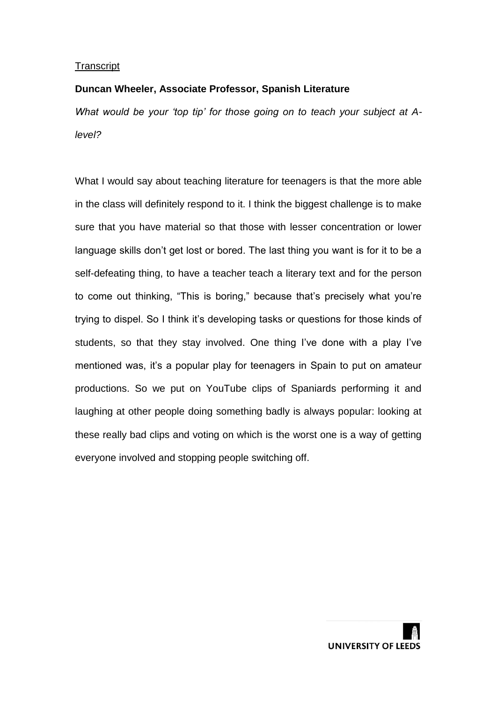# **Duncan Wheeler, Associate Professor, Spanish Literature**

*What would be your 'top tip' for those going on to teach your subject at Alevel?*

What I would say about teaching literature for teenagers is that the more able in the class will definitely respond to it. I think the biggest challenge is to make sure that you have material so that those with lesser concentration or lower language skills don't get lost or bored. The last thing you want is for it to be a self-defeating thing, to have a teacher teach a literary text and for the person to come out thinking, "This is boring," because that's precisely what you're trying to dispel. So I think it's developing tasks or questions for those kinds of students, so that they stay involved. One thing I've done with a play I've mentioned was, it's a popular play for teenagers in Spain to put on amateur productions. So we put on YouTube clips of Spaniards performing it and laughing at other people doing something badly is always popular: looking at these really bad clips and voting on which is the worst one is a way of getting everyone involved and stopping people switching off.

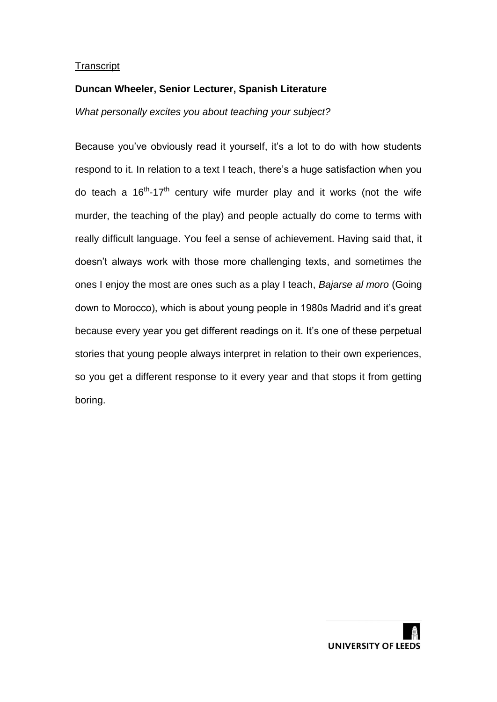## **Duncan Wheeler, Senior Lecturer, Spanish Literature**

*What personally excites you about teaching your subject?*

Because you've obviously read it yourself, it's a lot to do with how students respond to it. In relation to a text I teach, there's a huge satisfaction when you do teach a 16<sup>th</sup>-17<sup>th</sup> century wife murder play and it works (not the wife murder, the teaching of the play) and people actually do come to terms with really difficult language. You feel a sense of achievement. Having said that, it doesn't always work with those more challenging texts, and sometimes the ones I enjoy the most are ones such as a play I teach, *Bajarse al moro* (Going down to Morocco), which is about young people in 1980s Madrid and it's great because every year you get different readings on it. It's one of these perpetual stories that young people always interpret in relation to their own experiences, so you get a different response to it every year and that stops it from getting boring.